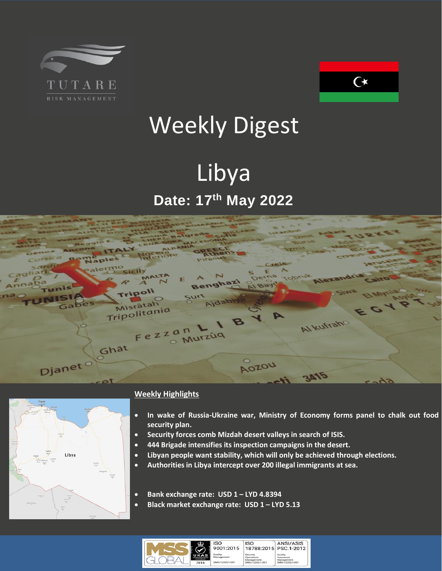



# Weekly Digest

## Libya **Date: 17 th May 2022**





#### **Weekly Highlights**

- **In wake of Russia-Ukraine war, Ministry of Economy forms panel to chalk out food security plan.**
- **Security forces comb Mizdah desert valleys in search of ISIS.**
- **444 Brigade intensifies its inspection campaigns in the desert.**
- **Libyan people want stability, which will only be achieved through elections.**
- **Authoritiesin Libya intercept over 200 illegal immigrants at sea.**
- **Bank exchange rate: USD 1 – LYD 4.8394**
- **Black market exchange rate: USD 1 – LYD 5.13**

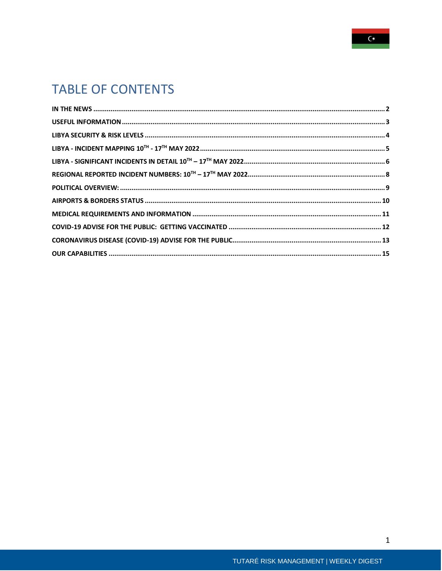

## **TABLE OF CONTENTS**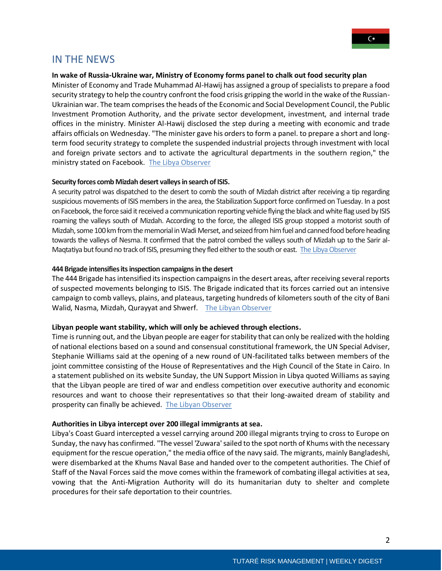

#### <span id="page-2-0"></span>IN THE NEWS

#### **In wake of Russia-Ukraine war, Ministry of Economy forms panel to chalk out food security plan**

Minister of Economy and Trade Muhammad Al-Hawij has assigned a group of specialists to prepare a food security strategy to help the country confront the food crisis gripping the world in the wake of the Russian-Ukrainian war. The team comprises the heads of the Economic and Social Development Council, the Public Investment Promotion Authority, and the private sector development, investment, and internal trade offices in the ministry. Minister Al-Hawij disclosed the step during a meeting with economic and trade affairs officials on Wednesday. "The minister gave his orders to form a panel. to prepare a short and longterm food security strategy to complete the suspended industrial projects through investment with local and foreign private sectors and to activate the agricultural departments in the southern region," the ministry stated on Facebook. [The Libya Observer](https://www.libyaobserver.ly/news/wake-russia-ukraine-war-ministry-economy-forms-panel-chalk-out-food-security-plan)

#### **Security forces comb Mizdah desert valleys in search of ISIS.**

A security patrol was dispatched to the desert to comb the south of Mizdah district after receiving a tip regarding suspicious movements of ISIS members in the area, the Stabilization Support force confirmed on Tuesday. In a post on Facebook, the force said it received a communication reporting vehicle flying the black and white flag used by ISIS roaming the valleys south of Mizdah. According to the force, the alleged ISIS group stopped a motorist south of Mizdah, some 100 km from the memorial in Wadi Merset, and seized from him fuel and canned food before heading towards the valleys of Nesma. It confirmed that the patrol combed the valleys south of Mizdah up to the Sarir al-Maqtatiya but found no track of ISIS, presuming they fled either to the south or east. [The Libya Observer](https://www.libyaobserver.ly/inbrief/security-forces-comb-mizdah-desert-valleys-search-isis)

#### **444 Brigade intensifies its inspection campaigns in the desert**

The 444 Brigade has intensified its inspection campaigns in the desert areas, after receiving several reports of suspected movements belonging to ISIS. The Brigade indicated that its forces carried out an intensive campaign to comb valleys, plains, and plateaus, targeting hundreds of kilometers south of the city of Bani Walid, Nasma, Mizdah, Qurayyat and Shwerf. [The Libyan Observer](https://www.libyaobserver.ly/inbrief/444-brigade-intensifies-its-inspection-campaigns-desert)

#### **Libyan people want stability, which will only be achieved through elections.**

Time is running out, and the Libyan people are eager for stability that can only be realized with the holding of national elections based on a sound and consensual constitutional framework, the UN Special Adviser, Stephanie Williams said at the opening of a new round of UN-facilitated talks between members of the joint committee consisting of the House of Representatives and the High Council of the State in Cairo. In a statement published on its website Sunday, the UN Support Mission in Libya quoted Williams as saying that the Libyan people are tired of war and endless competition over executive authority and economic resources and want to choose their representatives so that their long-awaited dream of stability and prosperity can finally be achieved. [The Libyan Observer](https://www.libyaobserver.ly/news/williams-libyan-people-want-stability-which-will-only-be-achieved-through-elections)

#### **Authorities in Libya intercept over 200 illegal immigrants at sea.**

Libya's Coast Guard intercepted a vessel carrying around 200 illegal migrants trying to cross to Europe on Sunday, the navy has confirmed. "The vessel 'Zuwara' sailed to the spot north of Khums with the necessary equipment for the rescue operation," the media office of the navy said. The migrants, mainly Bangladeshi, were disembarked at the Khums Naval Base and handed over to the competent authorities. The Chief of Staff of the Naval Forces said the move comes within the framework of combating illegal activities at sea, vowing that the Anti-Migration Authority will do its humanitarian duty to shelter and complete procedures for their safe deportation to their countries.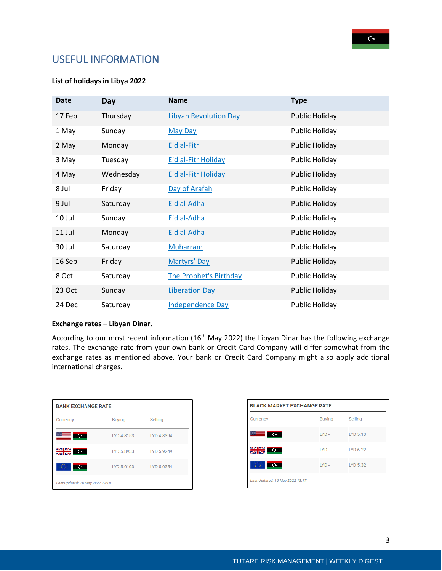### <span id="page-3-0"></span>USEFUL INFORMATION

#### **List of holidays in Libya 2022**

| <b>Date</b> | <b>Day</b> | <b>Name</b>                   | <b>Type</b>           |
|-------------|------------|-------------------------------|-----------------------|
| 17 Feb      | Thursday   | <b>Libyan Revolution Day</b>  | <b>Public Holiday</b> |
| 1 May       | Sunday     | <b>May Day</b>                | <b>Public Holiday</b> |
| 2 May       | Monday     | Eid al-Fitr                   | <b>Public Holiday</b> |
| 3 May       | Tuesday    | <b>Eid al-Fitr Holiday</b>    | <b>Public Holiday</b> |
| 4 May       | Wednesday  | <b>Eid al-Fitr Holiday</b>    | <b>Public Holiday</b> |
| 8 Jul       | Friday     | Day of Arafah                 | <b>Public Holiday</b> |
| 9 Jul       | Saturday   | Eid al-Adha                   | <b>Public Holiday</b> |
| 10 Jul      | Sunday     | Eid al-Adha                   | <b>Public Holiday</b> |
| 11 Jul      | Monday     | Eid al-Adha                   | <b>Public Holiday</b> |
| 30 Jul      | Saturday   | <b>Muharram</b>               | <b>Public Holiday</b> |
| 16 Sep      | Friday     | Martyrs' Day                  | <b>Public Holiday</b> |
| 8 Oct       | Saturday   | <b>The Prophet's Birthday</b> | <b>Public Holiday</b> |
| 23 Oct      | Sunday     | <b>Liberation Day</b>         | <b>Public Holiday</b> |
| 24 Dec      | Saturday   | <b>Independence Day</b>       | <b>Public Holiday</b> |

#### **Exchange rates – Libyan Dinar.**

According to our most recent information (16<sup>th</sup> May 2022) the Libyan Dinar has the following exchange rates. The exchange rate from your own bank or Credit Card Company will differ somewhat from the exchange rates as mentioned above. Your bank or Credit Card Company might also apply additional international charges.

| <b>BANK EXCHANGE RATE</b>       |               |            |  |  |  |
|---------------------------------|---------------|------------|--|--|--|
| <b>Currency</b>                 | <b>Buying</b> | Selling    |  |  |  |
| $\equiv$ $\infty$               | LYD 4.8153    | LYD 4.8394 |  |  |  |
| $\geq$ $\leq$ $\sim$            | LYD 5.8953    | LYD 5.9249 |  |  |  |
| $\overline{\mathbf{C}}$<br>300  | LYD 5.0103    | LYD 5.0354 |  |  |  |
| Last Updated: 16 May 2022 13:18 |               |            |  |  |  |

| <b>BLACK MARKET EXCHANGE RATE</b> |         |          |  |  |
|-----------------------------------|---------|----------|--|--|
| Currency                          | Buying  | Selling  |  |  |
| <u>starting from</u>              | $IYP -$ | LYD 5.13 |  |  |
| <b>SK C</b>                       | $IVD -$ | LYD 6.22 |  |  |
| -92<br>$\sim$                     | $LVD -$ | LYD 5.32 |  |  |
| Last Updated: 16 May 2022 13:17   |         |          |  |  |

3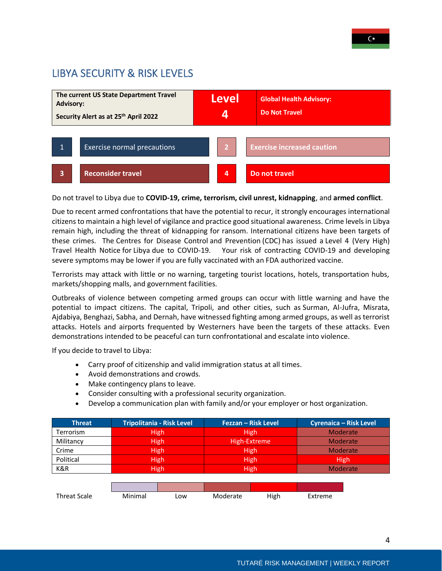### <span id="page-4-0"></span>LIBYA SECURITY & RISK LEVELS



Do not travel to Libya due to **COVID-19, crime, terrorism, civil unrest, kidnapping**, and **armed conflict**.

Due to recent armed confrontations that have the potential to recur, it strongly encourages international citizens to maintain a high level of vigilance and practice good situational awareness. Crime levels in Libya remain high, including the threat of kidnapping for ransom. International citizens have been targets of these crimes. The Centres for Disease Control and Prevention (CDC) has issued a Level 4 (Very High) Travel Health Notice for Libya due to COVID-19.    Your risk of contracting COVID-19 and developing severe symptoms may be lower if you are fully vaccinated with an FDA authorized vaccine.

Terrorists may attack with little or no warning, targeting tourist locations, hotels, transportation hubs, markets/shopping malls, and government facilities.

Outbreaks of violence between competing armed groups can occur with little warning and have the potential to impact citizens. The capital, Tripoli, and other cities, such as Surman, Al-Jufra, Misrata, Ajdabiya, Benghazi, Sabha, and Dernah, have witnessed fighting among armed groups, as well as terrorist attacks. Hotels and airports frequented by Westerners have been the targets of these attacks. Even demonstrations intended to be peaceful can turn confrontational and escalate into violence.

If you decide to travel to Libya:

- Carry proof of citizenship and valid immigration status at all times.
- Avoid demonstrations and crowds.
- Make contingency plans to leave.
- Consider consulting with a professional security organization.
- Develop a communication plan with family and/or your employer or host organization.

| <b>Threat</b>    | Tripolitania - Risk Level | Fezzan – Risk Level | <b>Cyrenaica - Risk Level</b> |
|------------------|---------------------------|---------------------|-------------------------------|
| <b>Terrorism</b> | <b>High</b>               | <b>High</b>         | Moderate                      |
| Militancy        | High                      | High-Extreme        | <b>Moderate</b>               |
| Crime            | <b>High</b>               | High                | Moderate                      |
| Political        | <b>High</b>               | High                | <b>High</b>                   |
| K&R              | High                      | High                | <b>Moderate</b>               |
|                  |                           |                     |                               |

| <b>Threat Scale</b> | Minimal | -ow | Moderate | High | Extreme |
|---------------------|---------|-----|----------|------|---------|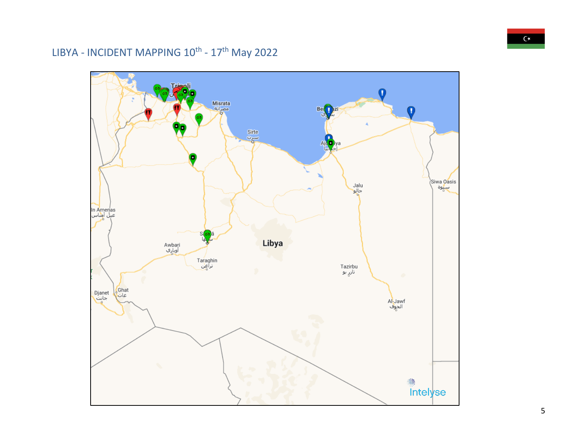### LIBYA - INCIDENT MAPPING 10<sup>th</sup> - 17<sup>th</sup> May 2022

<span id="page-5-0"></span>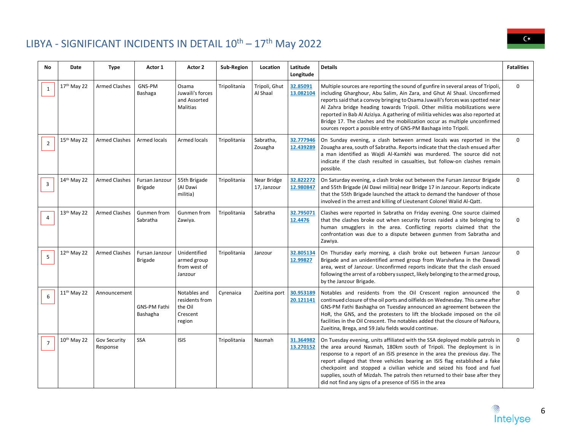### LIBYA - SIGNIFICANT INCIDENTS IN DETAIL  $10^{\text{th}} - 17^{\text{th}}$  May 2022

<span id="page-6-0"></span>

| <b>No</b>      | <b>Date</b>             | <b>Type</b>              | Actor 1                          | Actor 2                                                         | Sub-Region   | Location                   | Latitude<br>Longitude  | <b>Details</b>                                                                                                                                                                                                                                                                                                                                                                                                                                                                                                                                                  | <b>Fatalities</b> |
|----------------|-------------------------|--------------------------|----------------------------------|-----------------------------------------------------------------|--------------|----------------------------|------------------------|-----------------------------------------------------------------------------------------------------------------------------------------------------------------------------------------------------------------------------------------------------------------------------------------------------------------------------------------------------------------------------------------------------------------------------------------------------------------------------------------------------------------------------------------------------------------|-------------------|
| 1              | 17th May 22             | <b>Armed Clashes</b>     | GNS-PM<br>Bashaga                | Osama<br>Juwaili's forces<br>and Assorted<br>Malitias           | Tripolitania | Tripoli, Ghut<br>Al Shaal  | 32.85091<br>13.082104  | Multiple sources are reporting the sound of gunfire in several areas of Tripoli,<br>including Gharghour, Abu Salim, Ain Zara, and Ghut Al Shaal. Unconfirmed<br>reports said that a convoy bringing to Osama Juwaili's forces was spotted near<br>Al Zahra bridge heading towards Tripoli. Other militia mobilizations were<br>reported in Bab Al Aziziya. A gathering of militia vehicles was also reported at<br>Bridge 17. The clashes and the mobilization occur as multiple unconfirmed<br>sources report a possible entry of GNS-PM Bashaga into Tripoli. | $\mathbf 0$       |
| $\overline{2}$ | 15th May 22             | <b>Armed Clashes</b>     | <b>Armed locals</b>              | <b>Armed locals</b>                                             | Tripolitania | Sabratha,<br>Zouagha       | 32.777946<br>12.439289 | On Sunday evening, a clash between armed locals was reported in the<br>Zouagha area, south of Sabratha. Reports indicate that the clash ensued after<br>a man identified as Wajdi Al-Kamkhi was murdered. The source did not<br>indicate if the clash resulted in casualties, but follow-on clashes remain<br>possible.                                                                                                                                                                                                                                         | $\Omega$          |
| 3              | 14 <sup>th</sup> May 22 | <b>Armed Clashes</b>     | Fursan Janzour<br>Brigade        | 55th Brigade<br>(Al Dawi<br>militia)                            | Tripolitania | Near Bridge<br>17, Janzour | 32.822272<br>12.980847 | On Saturday evening, a clash broke out between the Fursan Janzour Brigade<br>and 55th Brigade (Al Dawi militia) near Bridge 17 in Janzour. Reports indicate<br>that the 55th Brigade launched the attack to demand the handover of those<br>involved in the arrest and killing of Lieutenant Colonel Walid Al-Qatt.                                                                                                                                                                                                                                             | $\mathbf 0$       |
| $\overline{4}$ | 13 <sup>th</sup> May 22 | <b>Armed Clashes</b>     | Gunmen from<br>Sabratha          | Gunmen from<br>Zawiya.                                          | Tripolitania | Sabratha                   | 32.795071<br>12.4476   | Clashes were reported in Sabratha on Friday evening. One source claimed<br>that the clashes broke out when security forces raided a site belonging to<br>human smugglers in the area. Conflicting reports claimed that the<br>confrontation was due to a dispute between gunmen from Sabratha and<br>Zawiya.                                                                                                                                                                                                                                                    | $\mathbf 0$       |
| 5              | 12 <sup>th</sup> May 22 | <b>Armed Clashes</b>     | Fursan Janzour<br><b>Brigade</b> | Unidentified<br>armed group<br>from west of<br>Janzour          | Tripolitania | Janzour                    | 32.805134<br>12.99827  | On Thursday early morning, a clash broke out between Fursan Janzour<br>Brigade and an unidentified armed group from Warshefana in the Dawadi<br>area, west of Janzour. Unconfirmed reports indicate that the clash ensued<br>following the arrest of a robbery suspect, likely belonging to the armed group,<br>by the Janzour Brigade.                                                                                                                                                                                                                         | $\mathbf 0$       |
| 6              | $11th$ May 22           | Announcement             | <b>GNS-PM Fathi</b><br>Bashagha  | Notables and<br>residents from<br>the Oil<br>Crescent<br>region | Cyrenaica    | Zueitina port              | 30.953189<br>20.121141 | Notables and residents from the Oil Crescent region announced the<br>continued closure of the oil ports and oilfields on Wednesday. This came after<br>GNS-PM Fathi Bashagha on Tuesday announced an agreement between the<br>HoR, the GNS, and the protesters to lift the blockade imposed on the oil<br>facilities in the Oil Crescent. The notables added that the closure of Nafoura,<br>Zueitina, Brega, and 59 Jalu fields would continue.                                                                                                                | $\mathbf 0$       |
| $\overline{7}$ | 10 <sup>th</sup> May 22 | Gov Security<br>Response | SSA                              | <b>ISIS</b>                                                     | Tripolitania | Nasmah                     | 31.364982<br>13.270152 | On Tuesday evening, units affiliated with the SSA deployed mobile patrols in<br>the area around Nasmah, 180km south of Tripoli. The deployment is in<br>response to a report of an ISIS presence in the area the previous day. The<br>report alleged that three vehicles bearing an ISIS flag established a fake<br>checkpoint and stopped a civilian vehicle and seized his food and fuel<br>supplies, south of Mizdah. The patrols then returned to their base after they<br>did not find any signs of a presence of ISIS in the area                         | $\Omega$          |



6

 $C^*$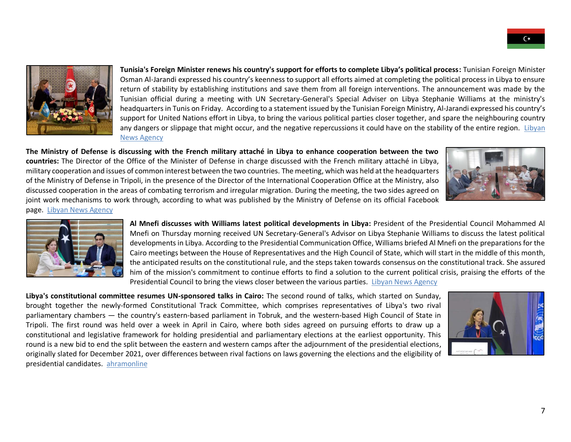

**Tunisia's Foreign Minister renews his country's support for efforts to complete Libya's political process:** Tunisian Foreign Minister Osman Al-Jarandi expressed his country's keenness to support all efforts aimed at completing the political process in Libya to ensure return of stability by establishing institutions and save them from all foreign interventions. The announcement was made by the Tunisian official during a meeting with UN Secretary-General's Special Adviser on Libya Stephanie Williams at the ministry's headquarters in Tunis on Friday. According to a statement issued by the Tunisian Foreign Ministry, Al-Jarandi expressed his country's support for United Nations effort in Libya, to bring the various political parties closer together, and spare the neighbouring country any dangers or slippage that might occur, and the negative repercussions it could have on the stability of the entire region. Libyan [News Agency](V)

**The Ministry of Defense is discussing with the French military attaché in Libya to enhance cooperation between the two countries:** The Director of the Office of the Minister of Defense in charge discussed with the French military attaché in Libya, military cooperation and issues of common interest between the two countries. The meeting, which was held at the headquarters of the Ministry of Defense in Tripoli, in the presence of the Director of the International Cooperation Office at the Ministry, also discussed cooperation in the areas of combating terrorism and irregular migration. During the meeting, the two sides agreed on joint work mechanisms to work through, according to what was published by the Ministry of Defense on its official Facebook page. [Libyan News Agency](https://lana.gov.ly/post.php?id=242192&lang=en)





**Al Mnefi discusses with Williams latest political developments in Libya:** President of the Presidential Council Mohammed Al Mnefi on Thursday morning received UN Secretary-General's Advisor on Libya Stephanie Williams to discuss the latest political developments in Libya. According to the Presidential Communication Office, Williams briefed Al Mnefi on the preparations for the Cairo meetings between the House of Representatives and the High Council of State, which will start in the middle of this month, the anticipated results on the constitutional rule, and the steps taken towards consensus on the constitutional track. She assured him of the mission's commitment to continue efforts to find a solution to the current political crisis, praising the efforts of the Presidential Council to bring the views closer between the various parties. [Libyan News Agency](https://lana.gov.ly/post.php?id=242100&lang=en)

**Libya's constitutional committee resumes UN-sponsored talks in Cairo:** The second round of talks, which started on Sunday, brought together the newly-formed Constitutional Track Committee, which comprises representatives of Libya's two rival parliamentary chambers — the country's eastern-based parliament in Tobruk, and the western-based High Council of State in Tripoli. The first round was held over a week in April in Cairo, where both sides agreed on pursuing efforts to draw up a constitutional and legislative framework for holding presidential and parliamentary elections at the earliest opportunity. This round is a new bid to end the split between the eastern and western camps after the adjournment of the presidential elections, originally slated for December 2021, over differences between rival factions on laws governing the elections and the eligibility of presidential candidates. [ahramonline](https://english.ahram.org.eg/News/466282.aspx)

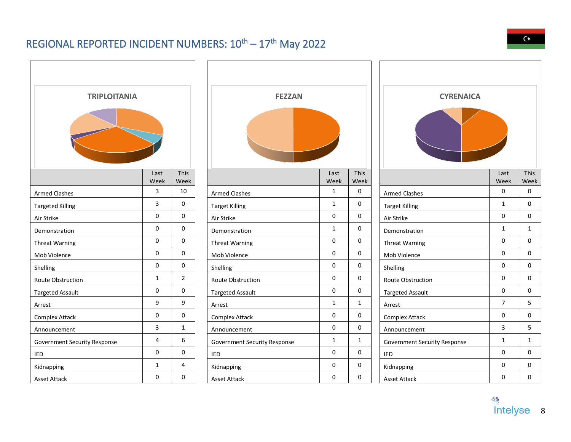### REGIONAL REPORTED INCIDENT NUMBERS:  $10^{\text{th}} - 17^{\text{th}}$  May 2022

<span id="page-8-0"></span>

| <b>TRIPLOITANIA</b>                 |                     |                | <b>FEZZAN</b>                |              |              | <b>CYRENAICA</b>                    |                |                |
|-------------------------------------|---------------------|----------------|------------------------------|--------------|--------------|-------------------------------------|----------------|----------------|
|                                     |                     |                |                              |              |              |                                     |                |                |
|                                     | Last<br>Week        | This<br>Week   |                              | Last<br>Week | This<br>Week |                                     | Last<br>Week   | This<br>Week   |
| <b>Armed Clashes</b>                | 3                   | 10             | <b>Armed Clashes</b>         | $\mathbf{1}$ | $\mathsf{O}$ | <b>Armed Clashes</b>                | $\mathbf 0$    | $\mathbf 0$    |
| <b>Targeted Killing</b>             | $\mathbf{3}$        | 0              | <b>Target Killing</b>        | $\mathbf{1}$ | $\mathbf 0$  | <b>Target Killing</b>               | $\mathbf{1}$   | $\mathbf 0$    |
| Air Strike                          | 0                   | $\mathbf 0$    | Air Strike                   | 0            | 0            | Air Strike                          | 0              | $\mathsf{O}$   |
| Demonstration                       | $\mathsf 0$         | 0              | Demonstration                | $\mathbf{1}$ | $\mathbf 0$  | Demonstration                       | $\mathbf{1}$   | 1              |
| <b>Threat Warning</b>               | 0                   | 0              | <b>Threat Warning</b>        | 0            | $\mathbf 0$  | <b>Threat Warning</b>               | $\mathbf 0$    | $\mathsf{O}$   |
| Mob Violence                        | 0                   | $\mathbf 0$    | Mob Violence                 | 0            | 0            | Mob Violence                        | 0              | $\mathsf{O}$   |
| Shelling                            | 0                   | 0              | Shelling                     | 0            | $\mathbf 0$  | Shelling                            | 0              | $\mathbf 0$    |
| Route Obstruction                   | $\mathbf{1}$        | $\overline{2}$ | Route Obstruction            | 0            | 0            | Route Obstruction                   | 0              | $\mathbf 0$    |
| <b>Targeted Assault</b>             | 0                   | 0              | <b>Targeted Assault</b>      | 0            | $\mathsf{O}$ | <b>Targeted Assault</b>             | 0              | $\mathbf 0$    |
| Arrest                              | 9                   | 9              | Arrest                       | $\mathbf{1}$ | $\mathbf{1}$ | Arrest                              | $\overline{7}$ | 5 <sup>1</sup> |
| <b>Complex Attack</b>               | $\mathsf{O}\xspace$ | 0              | Complex Attack               | 0            | 0            | <b>Complex Attack</b>               | 0              | $\mathsf{O}$   |
| Announcement                        | 3                   | $\mathbf{1}$   | Announcement                 | 0            | $\mathbf 0$  | Announcement                        | 3              | 5              |
| <b>Government Security Response</b> | $\overline{4}$      | 6              | Government Security Response | $\mathbf{1}$ | $\mathbf{1}$ | <b>Government Security Response</b> | $\mathbf{1}$   | $\mathbf{1}$   |
| IED                                 | $\mathsf{O}\xspace$ | 0              | IED                          | 0            | 0            | IED                                 | 0              | $\mathbf 0$    |
| Kidnapping                          | $\mathbf{1}$        | 4              | Kidnapping                   | 0            | $\mathbf 0$  | Kidnapping                          | 0              | $\mathsf{O}$   |
| Asset Attack                        | $\mathsf{O}\xspace$ | 0              | <b>Asset Attack</b>          | 0            | 0            | <b>Asset Attack</b>                 | 0              | $\mathsf{O}$   |

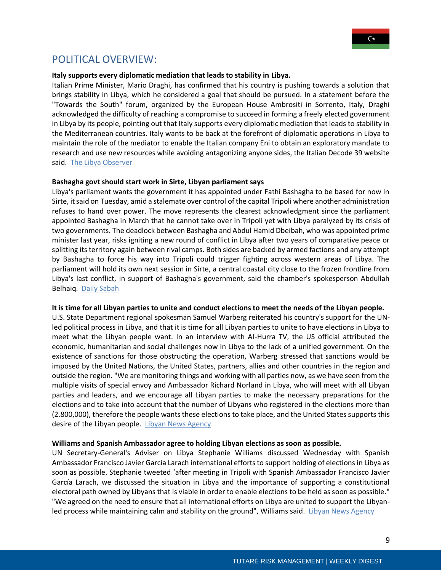

### <span id="page-9-0"></span>POLITICAL OVERVIEW:

#### **Italy supports every diplomatic mediation that leads to stability in Libya.**

Italian Prime Minister, Mario Draghi, has confirmed that his country is pushing towards a solution that brings stability in Libya, which he considered a goal that should be pursued. In a statement before the "Towards the South" forum, organized by the European House Ambrositi in Sorrento, Italy, Draghi acknowledged the difficulty of reaching a compromise to succeed in forming a freely elected government in Libya by its people, pointing out that Italy supports every diplomatic mediation that leads to stability in the Mediterranean countries. Italy wants to be back at the forefront of diplomatic operations in Libya to maintain the role of the mediator to enable the Italian company Eni to obtain an exploratory mandate to research and use new resources while avoiding antagonizing anyone sides, the Italian Decode 39 website said. [The Libya Observer](https://www.libyaobserver.ly/inbrief/draghi-italy-supports-every-diplomatic-mediation-leads-stability-libya)

#### **Bashagha govt should start work in Sirte, Libyan parliament says**

Libya's parliament wants the government it has appointed under Fathi Bashagha to be based for now in Sirte, it said on Tuesday, amid a stalemate over control of the capital Tripoli where another administration refuses to hand over power. The move represents the clearest acknowledgment since the parliament appointed Bashagha in March that he cannot take over in Tripoli yet with Libya paralyzed by its crisis of two governments. The deadlock between Bashagha and Abdul Hamid Dbeibah, who was appointed prime minister last year, risks igniting a new round of conflict in Libya after two years of comparative peace or splitting its territory again between rival camps. Both sides are backed by armed factions and any attempt by Bashagha to force his way into Tripoli could trigger fighting across western areas of Libya. The parliament will hold its own next session in Sirte, a central coastal city close to the frozen frontline from Libya's last conflict, in support of Bashagha's government, said the chamber's spokesperson Abdullah Belhaiq. [Daily Sabah](https://www.dailysabah.com/world/africa/bashagha-govt-should-start-work-in-sirte-libyan-parliament-says)

#### **It is time for all Libyan parties to unite and conduct elections to meet the needs of the Libyan people.**

U.S. State Department regional spokesman Samuel Warberg reiterated his country's support for the UNled political process in Libya, and that it is time for all Libyan parties to unite to have elections in Libya to meet what the Libyan people want. In an interview with Al-Hurra TV, the US official attributed the economic, humanitarian and social challenges now in Libya to the lack of a unified government. On the existence of sanctions for those obstructing the operation, Warberg stressed that sanctions would be imposed by the United Nations, the United States, partners, allies and other countries in the region and outside the region. "We are monitoring things and working with all parties now, as we have seen from the multiple visits of special envoy and Ambassador Richard Norland in Libya, who will meet with all Libyan parties and leaders, and we encourage all Libyan parties to make the necessary preparations for the elections and to take into account that the number of Libyans who registered in the elections more than (2.800,000), therefore the people wants these elections to take place, and the United States supports this desire of the Libyan people. [Libyan News Agency](https://lana.gov.ly/post.php?id=241920&lang=en)

#### **Williams and Spanish Ambassador agree to holding Libyan elections as soon as possible.**

UN Secretary-General's Adviser on Libya Stephanie Williams discussed Wednesday with Spanish Ambassador Francisco Javier García Larach international efforts to support holding of elections in Libya as soon as possible. Stephanie tweeted 'after meeting in Tripoli with Spanish Ambassador Francisco Javier García Larach, we discussed the situation in Libya and the importance of supporting a constitutional electoral path owned by Libyans that is viable in order to enable elections to be held as soon as possible." "We agreed on the need to ensure that all international efforts on Libya are united to support the Libyan-led process while maintaining calm and stability on the ground", Williams said. [Libyan News Agency](https://lana.gov.ly/post.php?id=242101&lang=en)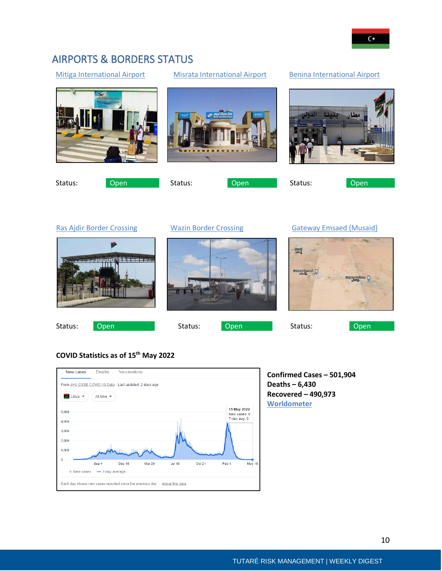### <span id="page-10-0"></span>AIRPORTS & BORDERS STATUS

#### [Mitiga International Airport](https://earth.google.com/web/@32.904832,13.2739227,9.08351382a,869.98613671d,35y,0h,45t,0r/data=Cl8aXRJXCiUweDEzYTg5MWU3YjRlZmQ1NmQ6MHg1OTczMjA3YWEwYTU2ODZiGegv9IjRc0BAIZhDnJg_jCpAKhxNaXRpZ2EgSW50ZXJuYXRpb25hbCBBaXJwb3J0GAIgAQ) [Misrata International Airport](https://earth.google.com/web/search/misrata+international+airport%d8%8c+Misrata,+Libya/@32.33656544,15.05023528,11.75080584a,4528.04701251d,35y,0h,0t,0r/data=CpEBGmcSYQolMHgxM2ExNTJhZjRmNmU5YTMxOjB4YzViNTA5YTc5NmVlNmNkYRkyuJwB5CtAQCGxX8FHDhYuQCom2YXYt9in2LEg2YXYtdix2KfYqtipINin2YTYr9mI2YTZiiBNUkEYAiABIiYKJAlt55KsfXRAQBFAg9EDfHNAQBm-24wx9ZAqQCFmq6v_iYcqQA) [Benina International Airport](https://earth.google.com/web/@32.0836981,20.261859,122.31293084a,878.79093475d,35y,0h,45t,0r/data=Cl8aXRJXCiUweDEzODMwMWU0OTY2ZDdkZTU6MHhkZDU5YWI4Yjg2ZGFmOGJmGWEejZ62CkBAIcspATEJQzRAKhxCZW5pbmEgSW50ZXJuYXRpb25hbCBBaXJwb3J0GAIgASgC)

Status: Open Status: Open Status: Open Status: Open

[Ras Ajdir Border Crossing](https://earth.google.com/web/search/Ras+Ajdir+border+crossing/@33.1482141,11.5624638,5.95745874a,867.34096043d,35y,0h,45t,0r/data=CoQBGloSVAolMHgxM2FiYjE5OTE0MTI3NTViOjB4M2I0NDBkMzI1ZWZhZDFiMhktJ_yt-JJAQCEmXlRB-x8nQCoZUmFzIEFqZGlyIGJvcmRlciBjcm9zc2luZxgCIAEiJgokCaEYnAoFCUBAEb6d9nexB0BAGUHJUtNG9DdAIbk0XEXw7zdAKAI) [Wazin Border Crossing](https://earth.google.com/web/@31.9756867,10.683791,354.34635949a,879.93275943d,35y,0h,45t,0r/data=Cl8aXRJXCiUweDEzYWNkNDZjZmU5NjhiYmI6MHhiOTY4NzBlODBlN2Q2YjZkGWSkg5rG-T9AISiZnNoZXiVAKhxEZWhpYmEgV2F6aW4gQm9yZGVyIENyb3NzaW5nGAIgASgC) [Gateway Emsaed](https://earth.google.com/web/search/border+crossing+station+near+Libya,+Sherbeen+City,+Shirbin,+Egypt/@31.57375961,25.05724672,187.36353099a,11915.05127689d,35y,0h,0t,0r/data=Cn8aVRJPCiUweDE0N2Q3MmNlN2MzNzYwNGY6MHg5Y2ZlZTMwNDVkYzQ3NWI0KiZHYXRld2F5IEVtc2FlZArYqNmI2ZHYp9io2Kkg2YXYs9in2LnYrxgCIAEiJgokCRmKg8ap_D9AEUjq7ICD-T9AGc7bRNtkZSVAIYZW9NnOViVA) (Musaid)

Musta

**Confirmed Cases – 501,904**

**Deaths – 6,430 Recovered – 490,973**

**[Worldometer](https://www.worldometers.info/coronavirus/country/libya/)**

#### **COVID Statistics as of 15th May 2022**

| New cases                                                                  | Deaths                        | Vaccinations  |               |               |        |                             |               |
|----------------------------------------------------------------------------|-------------------------------|---------------|---------------|---------------|--------|-----------------------------|---------------|
| From JHU CSSE COVID-19 Data · Last updated: 2 days ago                     |                               |               |               |               |        |                             |               |
| <b>co</b> Libya $\rightarrow$                                              | All time $\blacktriangledown$ |               |               |               |        |                             |               |
| 5,000                                                                      |                               |               |               |               |        | 15 May 2022<br>New cases: 0 |               |
| 4,000                                                                      |                               |               |               |               |        | 7-day avg: 0                |               |
| 3,000                                                                      |                               |               |               |               |        |                             |               |
| 2,000                                                                      |                               |               |               |               |        |                             |               |
| 1,000                                                                      |                               |               |               |               |        |                             |               |
| $\mathbf{0}$                                                               | Sep 4                         | <b>Dec 16</b> | <b>Mar 29</b> | <b>Jul 10</b> | Oct 21 | Feb 1                       | <b>May 15</b> |
| • New cases                                                                | - 7-day average               |               |               |               |        |                             |               |
| Each day shows new cases reported since the previous day · About this data |                               |               |               |               |        |                             |               |







Status: Open Status: Open Status: Contracts Chem

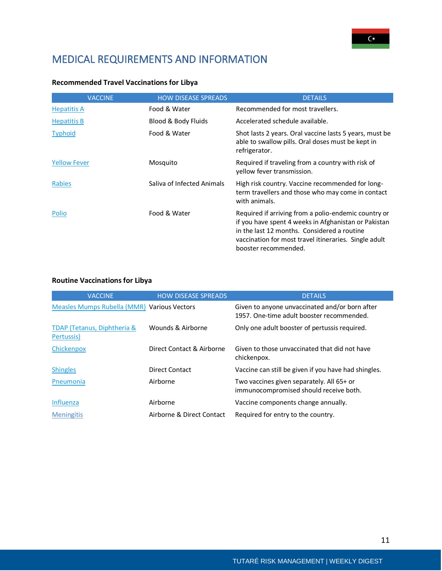### <span id="page-11-0"></span>MEDICAL REQUIREMENTS AND INFORMATION

| <b>Recommended Travel Vaccinations for Libya</b> |  |  |  |  |
|--------------------------------------------------|--|--|--|--|
|--------------------------------------------------|--|--|--|--|

| <b>VACCINE</b>      | <b>HOW DISEASE SPREADS</b> | <b>DETAILS</b>                                                                                                                                                                                                                               |
|---------------------|----------------------------|----------------------------------------------------------------------------------------------------------------------------------------------------------------------------------------------------------------------------------------------|
| <b>Hepatitis A</b>  | Food & Water               | Recommended for most travellers.                                                                                                                                                                                                             |
| <b>Hepatitis B</b>  | Blood & Body Fluids        | Accelerated schedule available.                                                                                                                                                                                                              |
| <b>Typhoid</b>      | Food & Water               | Shot lasts 2 years. Oral vaccine lasts 5 years, must be<br>able to swallow pills. Oral doses must be kept in<br>refrigerator.                                                                                                                |
| <b>Yellow Fever</b> | Mosquito                   | Required if traveling from a country with risk of<br>yellow fever transmission.                                                                                                                                                              |
| Rabies              | Saliva of Infected Animals | High risk country. Vaccine recommended for long-<br>term travellers and those who may come in contact<br>with animals.                                                                                                                       |
| Polio               | Food & Water               | Required if arriving from a polio-endemic country or<br>if you have spent 4 weeks in Afghanistan or Pakistan<br>in the last 12 months. Considered a routine<br>vaccination for most travel itineraries. Single adult<br>booster recommended. |

#### **Routine Vaccinations for Libya**

| <b>VACCINE</b>                              | <b>HOW DISEASE SPREADS</b> | <b>DETAILS</b>                                                                              |
|---------------------------------------------|----------------------------|---------------------------------------------------------------------------------------------|
| Measles Mumps Rubella (MMR) Various Vectors |                            | Given to anyone unvaccinated and/or born after<br>1957. One-time adult booster recommended. |
| TDAP (Tetanus, Diphtheria &<br>Pertussis)   | Wounds & Airborne          | Only one adult booster of pertussis required.                                               |
| Chickenpox                                  | Direct Contact & Airborne  | Given to those unvaccinated that did not have<br>chickenpox.                                |
| <b>Shingles</b>                             | Direct Contact             | Vaccine can still be given if you have had shingles.                                        |
| Pneumonia                                   | Airborne                   | Two vaccines given separately. All 65+ or<br>immunocompromised should receive both.         |
| Influenza                                   | Airborne                   | Vaccine components change annually.                                                         |
| <b>Meningitis</b>                           | Airborne & Direct Contact  | Required for entry to the country.                                                          |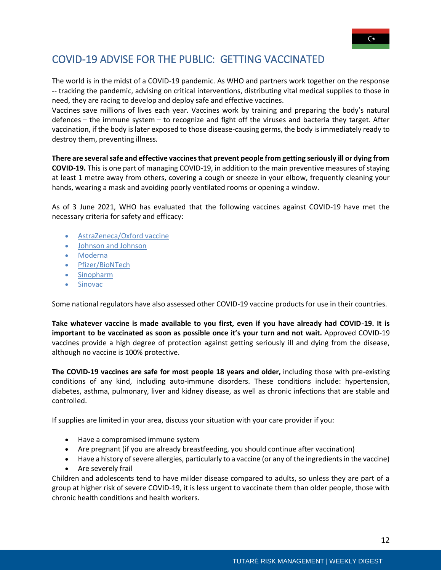### <span id="page-12-0"></span>COVID-19 ADVISE FOR THE PUBLIC: GETTING VACCINATED

The world is in the midst of a COVID-19 pandemic. As WHO and partners work together on the response -- tracking the pandemic, advising on critical interventions, distributing vital medical supplies to those in need, they are racing to develop and deploy safe and effective vaccines.

Vaccines save millions of lives each year. Vaccines work by training and preparing the body's natural defences – the immune system – to recognize and fight off the viruses and bacteria they target. After vaccination, if the body is later exposed to those disease-causing germs, the body is immediately ready to destroy them, preventing illness.

**There are several safe and effective vaccines that prevent people from getting seriously ill or dying from COVID-19.** This is one part of managing COVID-19, in addition to the main preventive measures of staying at least 1 metre away from others, covering a cough or sneeze in your elbow, frequently cleaning your hands, wearing a mask and avoiding poorly ventilated rooms or opening a window.

As of 3 June 2021, WHO has evaluated that the following vaccines against COVID-19 have met the necessary criteria for safety and efficacy:

- [AstraZeneca/Oxford vaccine](https://www.who.int/news-room/feature-stories/detail/the-oxford-astrazeneca-covid-19-vaccine-what-you-need-to-know)
- [Johnson and Johnson](https://www.who.int/news-room/feature-stories/detail/the-j-j-covid-19-vaccine-what-you-need-to-know)
- [Moderna](https://www.who.int/news-room/feature-stories/detail/the-moderna-covid-19-mrna-1273-vaccine-what-you-need-to-know)
- [Pfizer/BioNTech](https://www.who.int/news-room/feature-stories/detail/who-can-take-the-pfizer-biontech-covid-19--vaccine)
- [Sinopharm](https://www.who.int/news-room/feature-stories/detail/the-sinopharm-covid-19-vaccine-what-you-need-to-know)
- [Sinovac](https://www.who.int/news-room/feature-stories/detail/the-sinovac-covid-19-vaccine-what-you-need-to-know)

Some national regulators have also assessed other COVID-19 vaccine products for use in their countries.

**Take whatever vaccine is made available to you first, even if you have already had COVID-19. It is important to be vaccinated as soon as possible once it's your turn and not wait.** Approved COVID-19 vaccines provide a high degree of protection against getting seriously ill and dying from the disease, although no vaccine is 100% protective.

**The COVID-19 vaccines are safe for most people 18 years and older,** including those with pre-existing conditions of any kind, including auto-immune disorders. These conditions include: hypertension, diabetes, asthma, pulmonary, liver and kidney disease, as well as chronic infections that are stable and controlled.

If supplies are limited in your area, discuss your situation with your care provider if you:

- Have a compromised immune system
- Are pregnant (if you are already breastfeeding, you should continue after vaccination)
- Have a history of severe allergies, particularly to a vaccine (or any of the ingredients in the vaccine)
- Are severely frail

Children and adolescents tend to have milder disease compared to adults, so unless they are part of a group at higher risk of severe COVID-19, it is less urgent to vaccinate them than older people, those with chronic health conditions and health workers.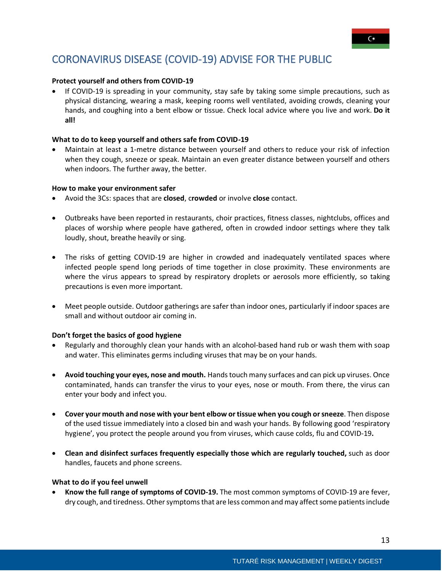### <span id="page-13-0"></span>CORONAVIRUS DISEASE (COVID-19) ADVISE FOR THE PUBLIC

#### **Protect yourself and others from COVID-19**

• If COVID-19 is spreading in your community, stay safe by taking some simple precautions, such as physical distancing, wearing a mask, keeping rooms well ventilated, avoiding crowds, cleaning your hands, and coughing into a bent elbow or tissue. Check local advice where you live and work. **Do it all!**

#### **What to do to keep yourself and others safe from COVID-19**

• Maintain at least a 1-metre distance between yourself and others to reduce your risk of infection when they cough, sneeze or speak. Maintain an even greater distance between yourself and others when indoors. The further away, the better.

#### **How to make your environment safer**

- Avoid the 3Cs: spaces that are **closed**, c**rowded** or involve **close** contact.
- Outbreaks have been reported in restaurants, choir practices, fitness classes, nightclubs, offices and places of worship where people have gathered, often in crowded indoor settings where they talk loudly, shout, breathe heavily or sing.
- The risks of getting COVID-19 are higher in crowded and inadequately ventilated spaces where infected people spend long periods of time together in close proximity. These environments are where the virus appears to spread by respiratory droplets or aerosols more efficiently, so taking precautions is even more important.
- Meet people outside. Outdoor gatherings are safer than indoor ones, particularly if indoor spaces are small and without outdoor air coming in.

#### **Don't forget the basics of good hygiene**

- Regularly and thoroughly clean your hands with an alcohol-based hand rub or wash them with soap and water. This eliminates germs including viruses that may be on your hands.
- **Avoid touching your eyes, nose and mouth.** Handstouch many surfaces and can pick up viruses. Once contaminated, hands can transfer the virus to your eyes, nose or mouth. From there, the virus can enter your body and infect you.
- **Cover your mouth and nose with your bent elbow ortissue when you cough orsneeze**. Then dispose of the used tissue immediately into a closed bin and wash your hands. By following good 'respiratory hygiene', you protect the people around you from viruses, which cause colds, flu and COVID-19**.**
- **Clean and disinfect surfaces frequently especially those which are regularly touched,** such as door handles, faucets and phone screens.

#### **What to do if you feel unwell**

• **Know the full range of symptoms of COVID-19.** The most common symptoms of COVID-19 are fever, dry cough, and tiredness. Other symptoms that are less common and may affect some patients include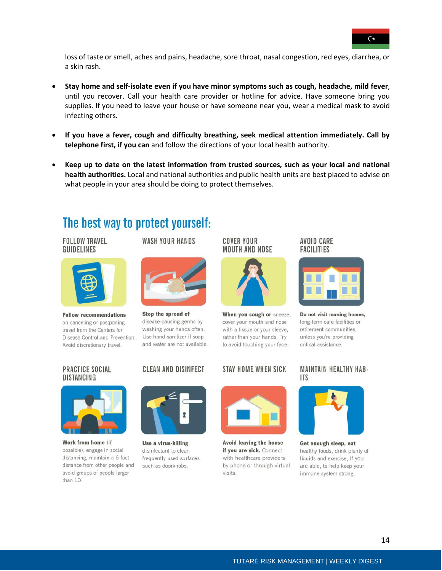

loss of taste or smell, aches and pains, headache, sore throat, nasal congestion, red eyes, diarrhea, or a skin rash.

- **Stay home and self-isolate even if you have minor symptoms such as cough, headache, mild fever**, until you recover. Call your health care provider or hotline for advice. Have someone bring you supplies. If you need to leave your house or have someone near you, wear a medical mask to avoid infecting others.
- **If you have a fever, cough and difficulty breathing, seek medical attention immediately. Call by telephone first, if you can** and follow the directions of your local health authority.
- **Keep up to date on the latest information from trusted sources, such as your local and national health authorities.** Local and national authorities and public health units are best placed to advise on what people in your area should be doing to protect themselves.

### The best way to protect yourself:

#### **FOLLOW TRAVEL GUIDELINES**



Stop the spread of

disease-causing germs by

washing your hands often.

Use hand sanitizer if soap

and water are not available.

**CLEAN AND DISINFECT** 



**Follow recommendations** on canceling or postponing travel from the Centers for Disease Control and Prevention. Avoid discretionary travel.

#### PRACTICE SOCIAL **DISTANCING**



Work from home (if possible), engage in social distancing, maintain a 6-foot distance from other people and avoid groups of people larger than  $10.$ 



Use a virus-killing disinfectant to clean frequently used surfaces such as doorknobs.

#### **COVER YOUR MOUTH AND NOSE**



When you cough or sneeze, cover your mouth and nose with a tissue or your sleeve, rather than your hands. Try to avoid touching your face.

#### **STAY HOME WHEN SICK**



Avoid leaving the house if you are sick. Connect with healthcare providers by phone or through virtual visits.



### **MAINTAIN HEALTHY HAB-**



Get enough sleep, eat healthy foods, drink plenty of liquids and exercise, if you are able, to help keep your immune system strong.



Do not visit nursing homes, long-term care facilities or retirement communities, unless you're providing critical assistance.

AVOID CARE

**FACILITIES** 

## **ITS**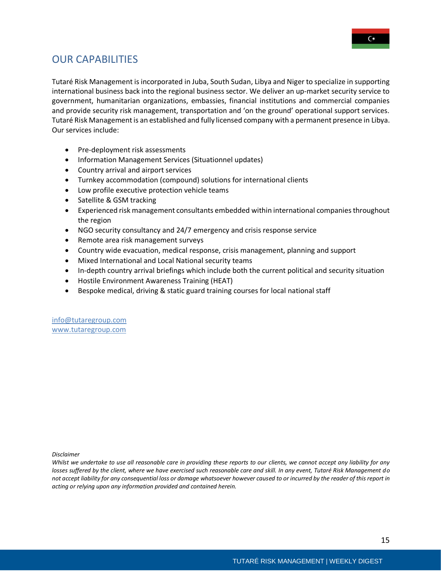

### <span id="page-15-0"></span>OUR CAPABILITIES

Tutaré Risk Management is incorporated in Juba, South Sudan, Libya and Niger to specialize in supporting international business back into the regional business sector. We deliver an up-market security service to government, humanitarian organizations, embassies, financial institutions and commercial companies and provide security risk management, transportation and 'on the ground' operational support services. Tutaré Risk Management is an established and fully licensed company with a permanent presence in Libya. Our services include:

- Pre‐deployment risk assessments
- Information Management Services (Situationnel updates)
- Country arrival and airport services
- Turnkey accommodation (compound) solutions for international clients
- Low profile executive protection vehicle teams
- Satellite & GSM tracking
- Experienced risk management consultants embedded within international companies throughout the region
- NGO security consultancy and 24/7 emergency and crisis response service
- Remote area risk management surveys
- Country wide evacuation, medical response, crisis management, planning and support
- Mixed International and Local National security teams
- In-depth country arrival briefings which include both the current political and security situation
- Hostile Environment Awareness Training (HEAT)
- Bespoke medical, driving & static guard training courses for local national staff

info@tutaregroup.com [www.tutaregroup.com](http://www.tutaregroup.com/)

*Disclaimer*

*Whilst we undertake to use all reasonable care in providing these reports to our clients, we cannot accept any liability for any losses suffered by the client, where we have exercised such reasonable care and skill. In any event, Tutaré Risk Management do not accept liability for any consequential loss or damage whatsoever however caused to or incurred by the reader of this report in acting or relying upon any information provided and contained herein.*